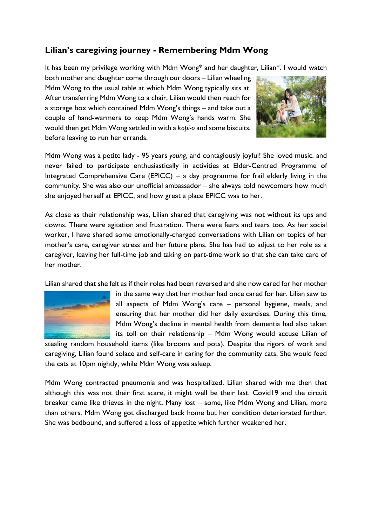## **Lilian's caregiving journey - Remembering Mdm Wong**

It has been my privilege working with Mdm Wong\* and her daughter, Lilian\*. I would watch

both mother and daughter come through our doors – Lilian wheeling Mdm Wong to the usual table at which Mdm Wong typically sits at. After transferring Mdm Wong to a chair, Lilian would then reach for a storage box which contained Mdm Wong's things – and take out a couple of hand-warmers to keep Mdm Wong's hands warm. She would then get Mdm Wong settled in with a *kopi-o* and some biscuits, before leaving to run her errands.



Mdm Wong was a petite lady - 95 years *young*, and contagiously joyful! She loved music, and never failed to participate enthusiastically in activities at Elder-Centred Programme of Integrated Comprehensive Care (EPICC) – a day programme for frail elderly living in the community. She was also our unofficial ambassador – she always told newcomers how much she enjoyed herself at EPICC, and how great a place EPICC was to her.

As close as their relationship was, Lilian shared that caregiving was not without its ups and downs. There were agitation and frustration. There were fears and tears too. As her social worker, I have shared some emotionally-charged conversations with Lilian on topics of her mother's care, caregiver stress and her future plans. She has had to adjust to her role as a caregiver, leaving her full-time job and taking on part-time work so that she can take care of her mother.

Lilian shared that she felt as if their roles had been reversed and she now cared for her mother



in the same way that her mother had once cared for her. Lilian saw to all aspects of Mdm Wong's care – personal hygiene, meals, and ensuring that her mother did her daily exercises. During this time, Mdm Wong's decline in mental health from dementia had also taken its toll on their relationship – Mdm Wong would accuse Lilian of

stealing random household items (like brooms and pots). Despite the rigors of work and caregiving, Lilian found solace and self-care in caring for the community cats. She would feed the cats at 10pm nightly, while Mdm Wong was asleep.

Mdm Wong contracted pneumonia and was hospitalized. Lilian shared with me then that although this was not their first scare, it might well be their last. Covid19 and the circuit breaker came like thieves in the night. Many lost – some, like Mdm Wong and Lilian, more than others. Mdm Wong got discharged back home but her condition deteriorated further. She was bedbound, and suffered a loss of appetite which further weakened her.